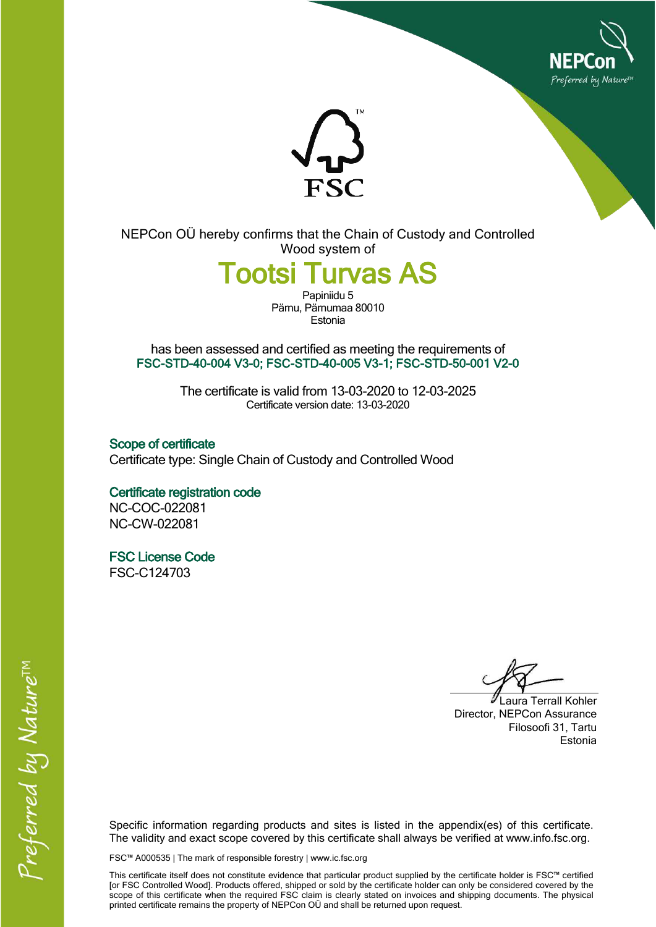



**NEPCon OÜ hereby confirms that the Chain of Custody and Controlled Wood system of**

**Tootsi Turvas AS**

Papiniidu 5 **Pärnu, Pärnumaa80010 Estonia**

**has been assessed and certified as meeting the requirements of FSC-STD-40-004 V3-0; FSC-STD-40-005 V3-1; FSC-STD-50-001 V2-0**

> **The certificate is valid from 13-03-2020 to 12-03-2025** Certificate version date: 13-03-2020

**Scope of certificate Certificate type: Single Chain of Custody and Controlled Wood**

**Certificate registration code NC-COC-022081 NC-CW-022081**

**FSC License Code FSC-C124703**

**Laura Terrall Kohler Director, NEPCon Assurance Filosoofi 31, Tartu Estonia**

**Specific information regarding products and sites is listed in the appendix(es) of this certificate. The validity and exact scope covered by this certificate shall always be verified at www.info.fsc.org.**

**FSC™ A000535 | The mark of responsible forestry | www.ic.fsc.org**

This certificate itself does not constitute evidence that particular product supplied by the certificate holder is FSC™ certified [or FSC Controlled Wood]. Products offered, shipped or sold by the certificate holder can only be considered covered by the scope of this certificate when the required FSC claim is clearly stated on invoices and shipping documents. The physical **printed certificate remains the property of NEPCon OÜ and shall be returned upon request.**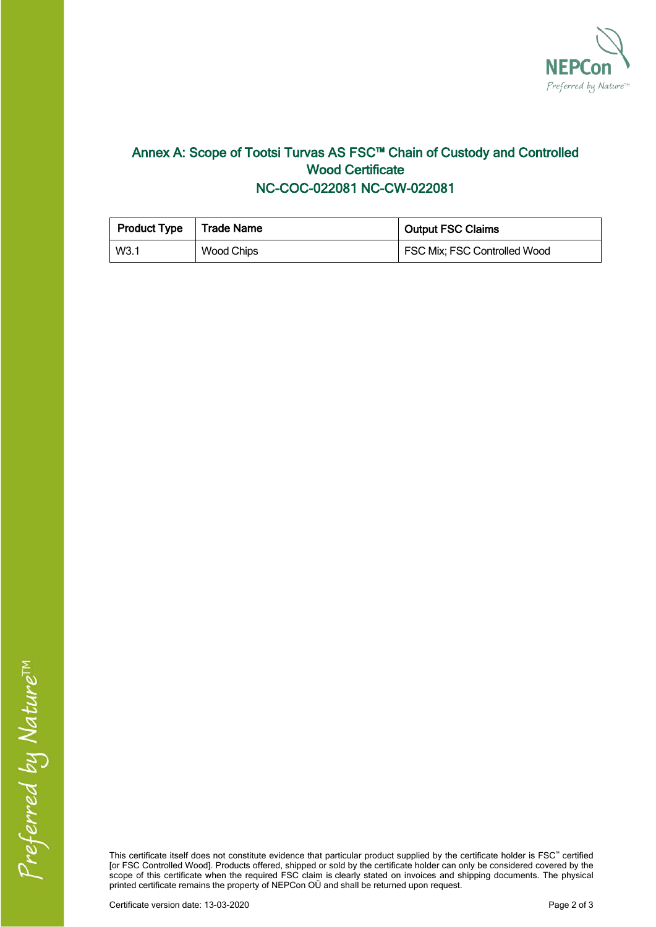

## **Annex A: Scope of Tootsi Turvas AS FSC™ Chain of Custody and Controlled Wood Certificate NC-COC-022081 NC-CW-022081**

| <b>Product Type</b> | l Trade Name | <b>Output FSC Claims</b>     |  |
|---------------------|--------------|------------------------------|--|
| W3.1                | Wood Chips   | FSC Mix; FSC Controlled Wood |  |

This certificate itself does not constitute evidence that particular product supplied by the certificate holder is FSC" certified [or FSC Controlled Wood]. Products offered, shipped or sold by the certificate holder can only be considered covered by the scope of this certificate when the required FSC claim is clearly stated on invoices and shipping documents. The physical **printed certificate remains the property of NEPCon OÜ and shall be returned upon request.**